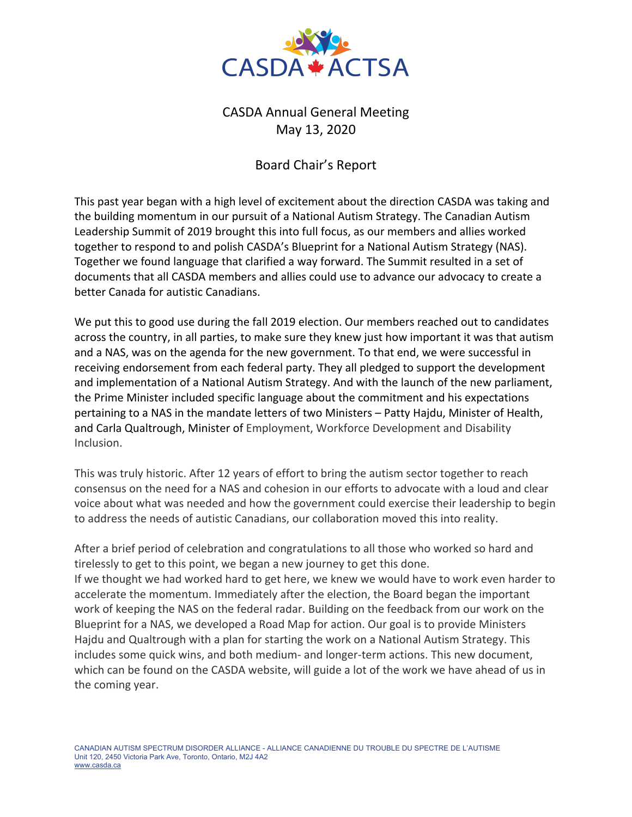

## CASDA Annual General Meeting May 13, 2020

## Board Chair's Report

This past year began with a high level of excitement about the direction CASDA was taking and the building momentum in our pursuit of a National Autism Strategy. The Canadian Autism Leadership Summit of 2019 brought this into full focus, as our members and allies worked together to respond to and polish CASDA's Blueprint for a National Autism Strategy (NAS). Together we found language that clarified a way forward. The Summit resulted in a set of documents that all CASDA members and allies could use to advance our advocacy to create a better Canada for autistic Canadians.

We put this to good use during the fall 2019 election. Our members reached out to candidates across the country, in all parties, to make sure they knew just how important it was that autism and a NAS, was on the agenda for the new government. To that end, we were successful in receiving endorsement from each federal party. They all pledged to support the development and implementation of a National Autism Strategy. And with the launch of the new parliament, the Prime Minister included specific language about the commitment and his expectations pertaining to a NAS in the mandate letters of two Ministers – Patty Hajdu, Minister of Health, and Carla Qualtrough, Minister of Employment, Workforce Development and Disability Inclusion.

This was truly historic. After 12 years of effort to bring the autism sector together to reach consensus on the need for a NAS and cohesion in our efforts to advocate with a loud and clear voice about what was needed and how the government could exercise their leadership to begin to address the needs of autistic Canadians, our collaboration moved this into reality.

After a brief period of celebration and congratulations to all those who worked so hard and tirelessly to get to this point, we began a new journey to get this done. If we thought we had worked hard to get here, we knew we would have to work even harder to accelerate the momentum. Immediately after the election, the Board began the important work of keeping the NAS on the federal radar. Building on the feedback from our work on the Blueprint for a NAS, we developed a Road Map for action. Our goal is to provide Ministers Hajdu and Qualtrough with a plan for starting the work on a National Autism Strategy. This includes some quick wins, and both medium- and longer-term actions. This new document, which can be found on the CASDA website, will guide a lot of the work we have ahead of us in the coming year.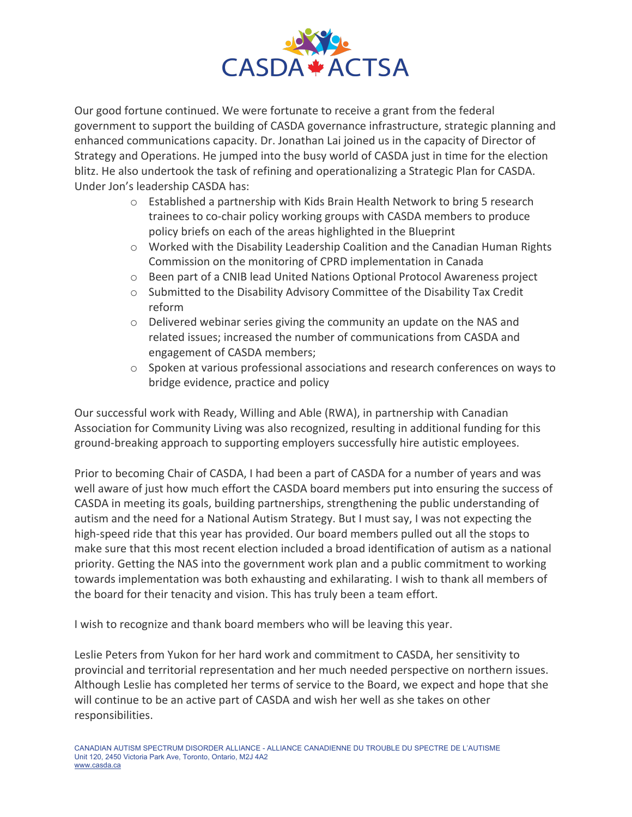

Our good fortune continued. We were fortunate to receive a grant from the federal government to support the building of CASDA governance infrastructure, strategic planning and enhanced communications capacity. Dr. Jonathan Lai joined us in the capacity of Director of Strategy and Operations. He jumped into the busy world of CASDA just in time for the election blitz. He also undertook the task of refining and operationalizing a Strategic Plan for CASDA. Under Jon's leadership CASDA has:

- o Established a partnership with Kids Brain Health Network to bring 5 research trainees to co-chair policy working groups with CASDA members to produce policy briefs on each of the areas highlighted in the Blueprint
- o Worked with the Disability Leadership Coalition and the Canadian Human Rights Commission on the monitoring of CPRD implementation in Canada
- o Been part of a CNIB lead United Nations Optional Protocol Awareness project
- o Submitted to the Disability Advisory Committee of the Disability Tax Credit reform
- $\circ$  Delivered webinar series giving the community an update on the NAS and related issues; increased the number of communications from CASDA and engagement of CASDA members;
- $\circ$  Spoken at various professional associations and research conferences on ways to bridge evidence, practice and policy

Our successful work with Ready, Willing and Able (RWA), in partnership with Canadian Association for Community Living was also recognized, resulting in additional funding for this ground-breaking approach to supporting employers successfully hire autistic employees.

Prior to becoming Chair of CASDA, I had been a part of CASDA for a number of years and was well aware of just how much effort the CASDA board members put into ensuring the success of CASDA in meeting its goals, building partnerships, strengthening the public understanding of autism and the need for a National Autism Strategy. But I must say, I was not expecting the high-speed ride that this year has provided. Our board members pulled out all the stops to make sure that this most recent election included a broad identification of autism as a national priority. Getting the NAS into the government work plan and a public commitment to working towards implementation was both exhausting and exhilarating. I wish to thank all members of the board for their tenacity and vision. This has truly been a team effort.

I wish to recognize and thank board members who will be leaving this year.

Leslie Peters from Yukon for her hard work and commitment to CASDA, her sensitivity to provincial and territorial representation and her much needed perspective on northern issues. Although Leslie has completed her terms of service to the Board, we expect and hope that she will continue to be an active part of CASDA and wish her well as she takes on other responsibilities.